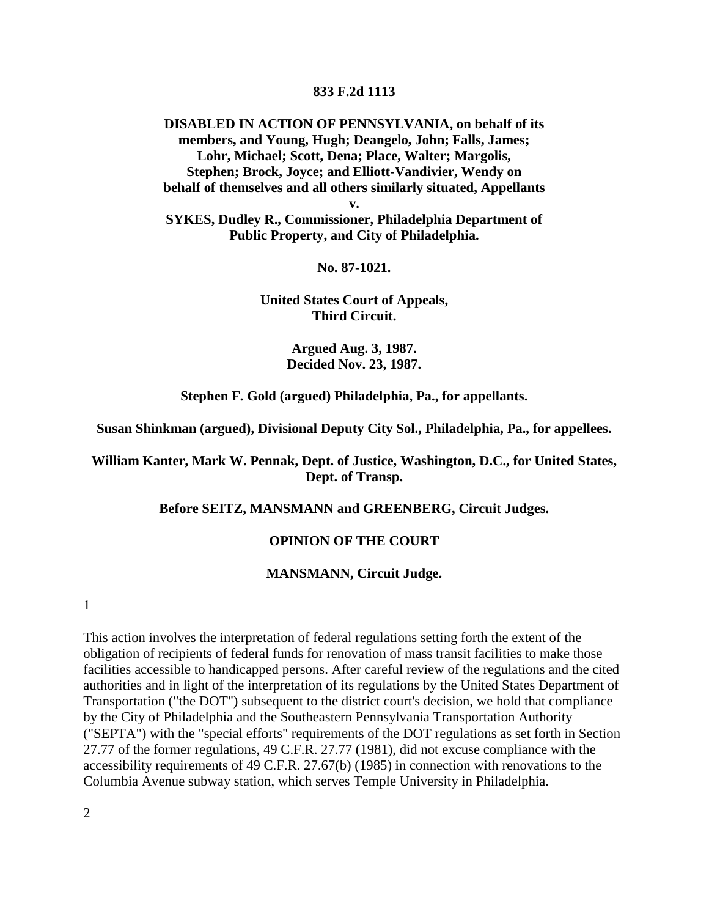#### **833 F.2d 1113**

**DISABLED IN ACTION OF PENNSYLVANIA, on behalf of its members, and Young, Hugh; Deangelo, John; Falls, James; Lohr, Michael; Scott, Dena; Place, Walter; Margolis, Stephen; Brock, Joyce; and Elliott-Vandivier, Wendy on behalf of themselves and all others similarly situated, Appellants**

**v.**

**SYKES, Dudley R., Commissioner, Philadelphia Department of Public Property, and City of Philadelphia.**

**No. 87-1021.**

**United States Court of Appeals, Third Circuit.**

> **Argued Aug. 3, 1987. Decided Nov. 23, 1987.**

**Stephen F. Gold (argued) Philadelphia, Pa., for appellants.**

**Susan Shinkman (argued), Divisional Deputy City Sol., Philadelphia, Pa., for appellees.**

**William Kanter, Mark W. Pennak, Dept. of Justice, Washington, D.C., for United States, Dept. of Transp.**

**Before SEITZ, MANSMANN and GREENBERG, Circuit Judges.**

#### **OPINION OF THE COURT**

#### **MANSMANN, Circuit Judge.**

1

This action involves the interpretation of federal regulations setting forth the extent of the obligation of recipients of federal funds for renovation of mass transit facilities to make those facilities accessible to handicapped persons. After careful review of the regulations and the cited authorities and in light of the interpretation of its regulations by the United States Department of Transportation ("the DOT") subsequent to the district court's decision, we hold that compliance by the City of Philadelphia and the Southeastern Pennsylvania Transportation Authority ("SEPTA") with the "special efforts" requirements of the DOT regulations as set forth in Section 27.77 of the former regulations, 49 C.F.R. 27.77 (1981), did not excuse compliance with the accessibility requirements of 49 C.F.R. 27.67(b) (1985) in connection with renovations to the Columbia Avenue subway station, which serves Temple University in Philadelphia.

2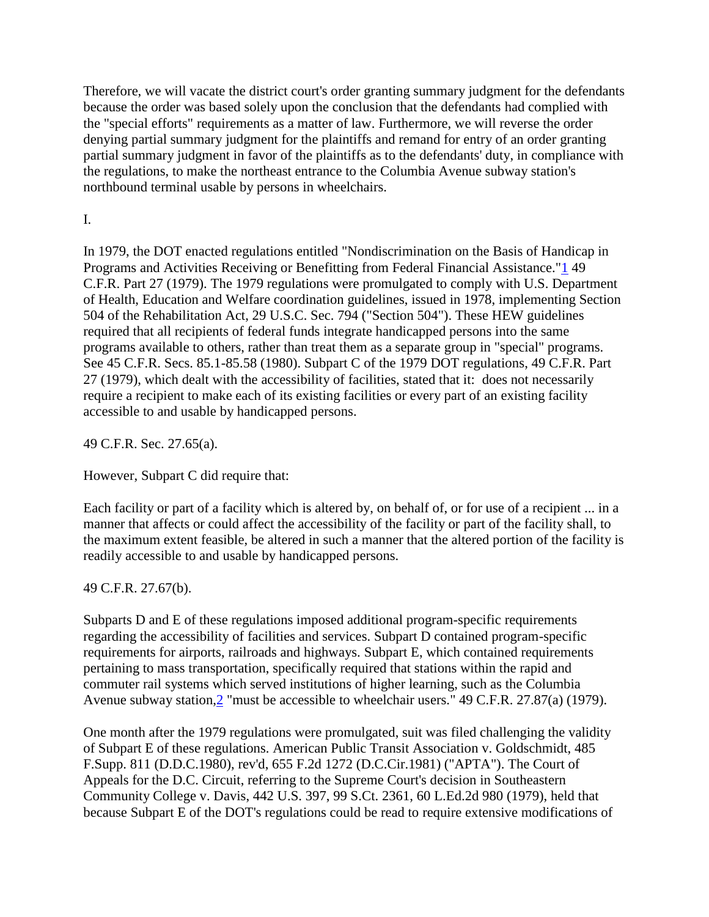Therefore, we will vacate the district court's order granting summary judgment for the defendants because the order was based solely upon the conclusion that the defendants had complied with the "special efforts" requirements as a matter of law. Furthermore, we will reverse the order denying partial summary judgment for the plaintiffs and remand for entry of an order granting partial summary judgment in favor of the plaintiffs as to the defendants' duty, in compliance with the regulations, to make the northeast entrance to the Columbia Avenue subway station's northbound terminal usable by persons in wheelchairs.

I.

In 1979, the DOT enacted regulations entitled "Nondiscrimination on the Basis of Handicap in Programs and Activities Receiving or Benefitting from Federal Financial Assistance.["1](http://bulk.resource.org/courts.gov/c/F2/833/833.F2d.1113.87-1021.html#fn1) 49 C.F.R. Part 27 (1979). The 1979 regulations were promulgated to comply with U.S. Department of Health, Education and Welfare coordination guidelines, issued in 1978, implementing Section 504 of the Rehabilitation Act, 29 U.S.C. Sec. 794 ("Section 504"). These HEW guidelines required that all recipients of federal funds integrate handicapped persons into the same programs available to others, rather than treat them as a separate group in "special" programs. See 45 C.F.R. Secs. 85.1-85.58 (1980). Subpart C of the 1979 DOT regulations, 49 C.F.R. Part 27 (1979), which dealt with the accessibility of facilities, stated that it: does not necessarily require a recipient to make each of its existing facilities or every part of an existing facility accessible to and usable by handicapped persons.

49 C.F.R. Sec. 27.65(a).

However, Subpart C did require that:

Each facility or part of a facility which is altered by, on behalf of, or for use of a recipient ... in a manner that affects or could affect the accessibility of the facility or part of the facility shall, to the maximum extent feasible, be altered in such a manner that the altered portion of the facility is readily accessible to and usable by handicapped persons.

49 C.F.R. 27.67(b).

Subparts D and E of these regulations imposed additional program-specific requirements regarding the accessibility of facilities and services. Subpart D contained program-specific requirements for airports, railroads and highways. Subpart E, which contained requirements pertaining to mass transportation, specifically required that stations within the rapid and commuter rail systems which served institutions of higher learning, such as the Columbia Avenue subway station[,2](http://bulk.resource.org/courts.gov/c/F2/833/833.F2d.1113.87-1021.html#fn2) "must be accessible to wheelchair users." 49 C.F.R. 27.87(a) (1979).

One month after the 1979 regulations were promulgated, suit was filed challenging the validity of Subpart E of these regulations. American Public Transit Association v. Goldschmidt, 485 F.Supp. 811 (D.D.C.1980), rev'd, 655 F.2d 1272 (D.C.Cir.1981) ("APTA"). The Court of Appeals for the D.C. Circuit, referring to the Supreme Court's decision in Southeastern Community College v. Davis, 442 U.S. 397, 99 S.Ct. 2361, 60 L.Ed.2d 980 (1979), held that because Subpart E of the DOT's regulations could be read to require extensive modifications of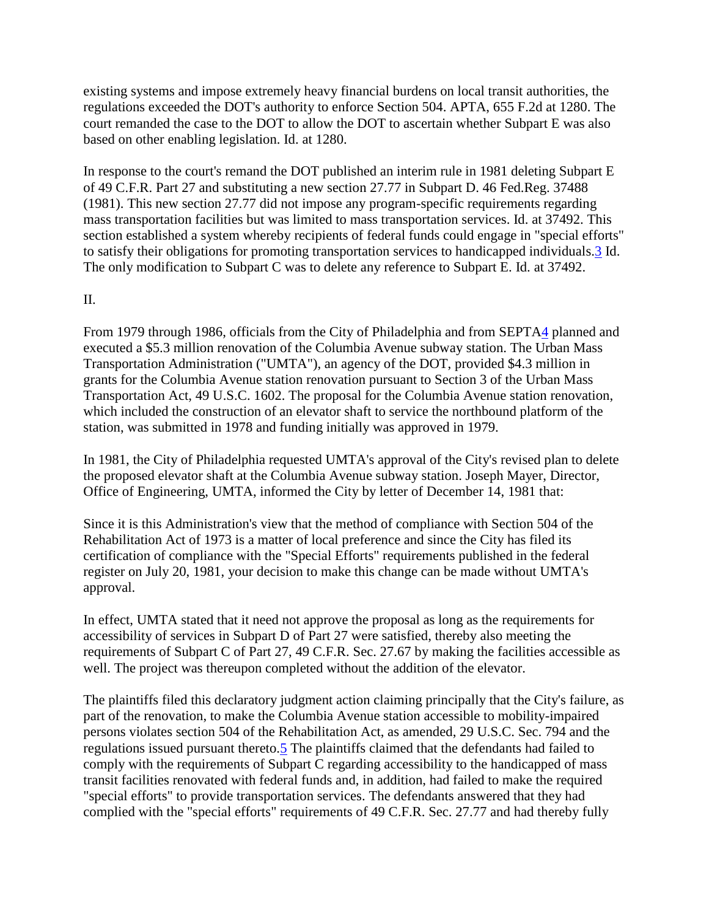existing systems and impose extremely heavy financial burdens on local transit authorities, the regulations exceeded the DOT's authority to enforce Section 504. APTA, 655 F.2d at 1280. The court remanded the case to the DOT to allow the DOT to ascertain whether Subpart E was also based on other enabling legislation. Id. at 1280.

In response to the court's remand the DOT published an interim rule in 1981 deleting Subpart E of 49 C.F.R. Part 27 and substituting a new section 27.77 in Subpart D. 46 Fed.Reg. 37488 (1981). This new section 27.77 did not impose any program-specific requirements regarding mass transportation facilities but was limited to mass transportation services. Id. at 37492. This section established a system whereby recipients of federal funds could engage in "special efforts" to satisfy their obligations for promoting transportation services to handicapped individuals[.3](http://bulk.resource.org/courts.gov/c/F2/833/833.F2d.1113.87-1021.html#fn3) Id. The only modification to Subpart C was to delete any reference to Subpart E. Id. at 37492.

### II.

From 1979 through 1986, officials from the City of Philadelphia and from SEPT[A4](http://bulk.resource.org/courts.gov/c/F2/833/833.F2d.1113.87-1021.html#fn4) planned and executed a \$5.3 million renovation of the Columbia Avenue subway station. The Urban Mass Transportation Administration ("UMTA"), an agency of the DOT, provided \$4.3 million in grants for the Columbia Avenue station renovation pursuant to Section 3 of the Urban Mass Transportation Act, 49 U.S.C. 1602. The proposal for the Columbia Avenue station renovation, which included the construction of an elevator shaft to service the northbound platform of the station, was submitted in 1978 and funding initially was approved in 1979.

In 1981, the City of Philadelphia requested UMTA's approval of the City's revised plan to delete the proposed elevator shaft at the Columbia Avenue subway station. Joseph Mayer, Director, Office of Engineering, UMTA, informed the City by letter of December 14, 1981 that:

Since it is this Administration's view that the method of compliance with Section 504 of the Rehabilitation Act of 1973 is a matter of local preference and since the City has filed its certification of compliance with the "Special Efforts" requirements published in the federal register on July 20, 1981, your decision to make this change can be made without UMTA's approval.

In effect, UMTA stated that it need not approve the proposal as long as the requirements for accessibility of services in Subpart D of Part 27 were satisfied, thereby also meeting the requirements of Subpart C of Part 27, 49 C.F.R. Sec. 27.67 by making the facilities accessible as well. The project was thereupon completed without the addition of the elevator.

The plaintiffs filed this declaratory judgment action claiming principally that the City's failure, as part of the renovation, to make the Columbia Avenue station accessible to mobility-impaired persons violates section 504 of the Rehabilitation Act, as amended, 29 U.S.C. Sec. 794 and the regulations issued pursuant thereto[.5](http://bulk.resource.org/courts.gov/c/F2/833/833.F2d.1113.87-1021.html#fn5) The plaintiffs claimed that the defendants had failed to comply with the requirements of Subpart C regarding accessibility to the handicapped of mass transit facilities renovated with federal funds and, in addition, had failed to make the required "special efforts" to provide transportation services. The defendants answered that they had complied with the "special efforts" requirements of 49 C.F.R. Sec. 27.77 and had thereby fully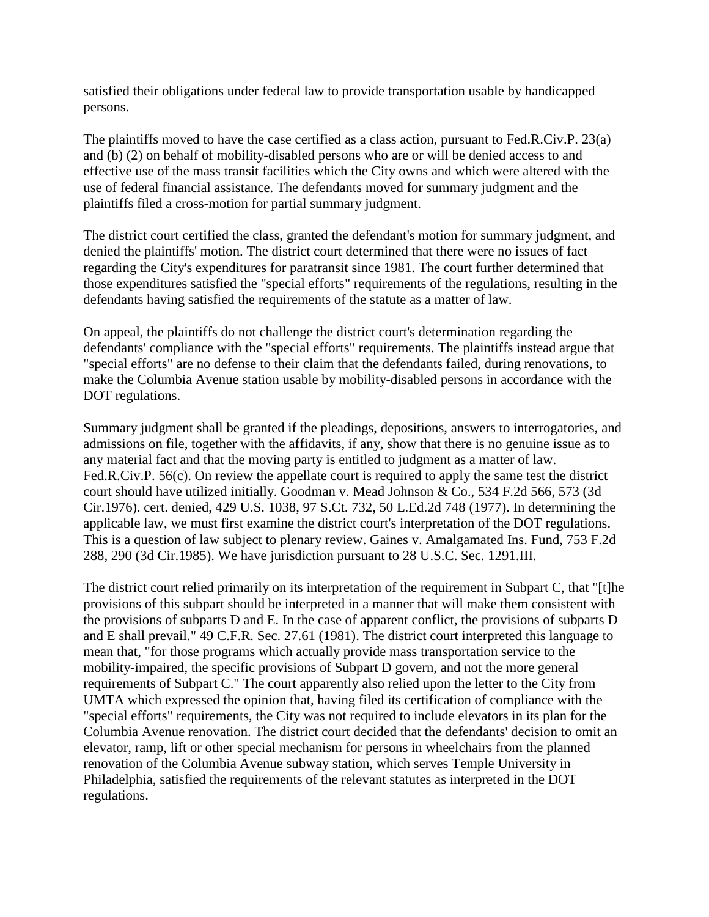satisfied their obligations under federal law to provide transportation usable by handicapped persons.

The plaintiffs moved to have the case certified as a class action, pursuant to Fed.R.Civ.P. 23(a) and (b) (2) on behalf of mobility-disabled persons who are or will be denied access to and effective use of the mass transit facilities which the City owns and which were altered with the use of federal financial assistance. The defendants moved for summary judgment and the plaintiffs filed a cross-motion for partial summary judgment.

The district court certified the class, granted the defendant's motion for summary judgment, and denied the plaintiffs' motion. The district court determined that there were no issues of fact regarding the City's expenditures for paratransit since 1981. The court further determined that those expenditures satisfied the "special efforts" requirements of the regulations, resulting in the defendants having satisfied the requirements of the statute as a matter of law.

On appeal, the plaintiffs do not challenge the district court's determination regarding the defendants' compliance with the "special efforts" requirements. The plaintiffs instead argue that "special efforts" are no defense to their claim that the defendants failed, during renovations, to make the Columbia Avenue station usable by mobility-disabled persons in accordance with the DOT regulations.

Summary judgment shall be granted if the pleadings, depositions, answers to interrogatories, and admissions on file, together with the affidavits, if any, show that there is no genuine issue as to any material fact and that the moving party is entitled to judgment as a matter of law. Fed.R.Civ.P. 56(c). On review the appellate court is required to apply the same test the district court should have utilized initially. Goodman v. Mead Johnson & Co., 534 F.2d 566, 573 (3d Cir.1976). cert. denied, 429 U.S. 1038, 97 S.Ct. 732, 50 L.Ed.2d 748 (1977). In determining the applicable law, we must first examine the district court's interpretation of the DOT regulations. This is a question of law subject to plenary review. Gaines v. Amalgamated Ins. Fund, 753 F.2d 288, 290 (3d Cir.1985). We have jurisdiction pursuant to 28 U.S.C. Sec. 1291.III.

The district court relied primarily on its interpretation of the requirement in Subpart C, that "[t]he provisions of this subpart should be interpreted in a manner that will make them consistent with the provisions of subparts D and E. In the case of apparent conflict, the provisions of subparts D and E shall prevail." 49 C.F.R. Sec. 27.61 (1981). The district court interpreted this language to mean that, "for those programs which actually provide mass transportation service to the mobility-impaired, the specific provisions of Subpart D govern, and not the more general requirements of Subpart C." The court apparently also relied upon the letter to the City from UMTA which expressed the opinion that, having filed its certification of compliance with the "special efforts" requirements, the City was not required to include elevators in its plan for the Columbia Avenue renovation. The district court decided that the defendants' decision to omit an elevator, ramp, lift or other special mechanism for persons in wheelchairs from the planned renovation of the Columbia Avenue subway station, which serves Temple University in Philadelphia, satisfied the requirements of the relevant statutes as interpreted in the DOT regulations.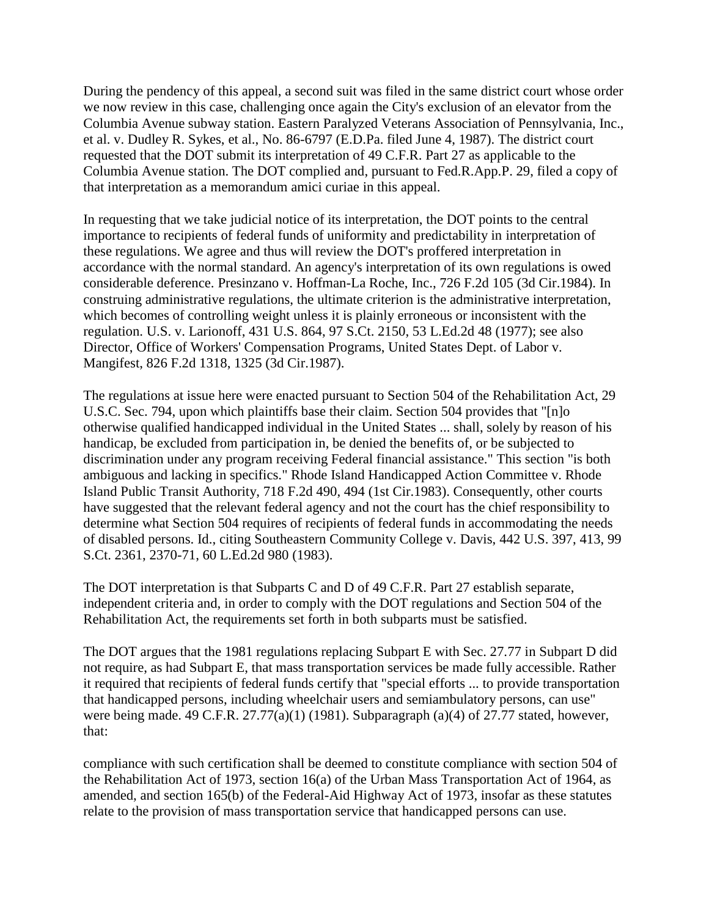During the pendency of this appeal, a second suit was filed in the same district court whose order we now review in this case, challenging once again the City's exclusion of an elevator from the Columbia Avenue subway station. Eastern Paralyzed Veterans Association of Pennsylvania, Inc., et al. v. Dudley R. Sykes, et al., No. 86-6797 (E.D.Pa. filed June 4, 1987). The district court requested that the DOT submit its interpretation of 49 C.F.R. Part 27 as applicable to the Columbia Avenue station. The DOT complied and, pursuant to Fed.R.App.P. 29, filed a copy of that interpretation as a memorandum amici curiae in this appeal.

In requesting that we take judicial notice of its interpretation, the DOT points to the central importance to recipients of federal funds of uniformity and predictability in interpretation of these regulations. We agree and thus will review the DOT's proffered interpretation in accordance with the normal standard. An agency's interpretation of its own regulations is owed considerable deference. Presinzano v. Hoffman-La Roche, Inc., 726 F.2d 105 (3d Cir.1984). In construing administrative regulations, the ultimate criterion is the administrative interpretation, which becomes of controlling weight unless it is plainly erroneous or inconsistent with the regulation. U.S. v. Larionoff, 431 U.S. 864, 97 S.Ct. 2150, 53 L.Ed.2d 48 (1977); see also Director, Office of Workers' Compensation Programs, United States Dept. of Labor v. Mangifest, 826 F.2d 1318, 1325 (3d Cir.1987).

The regulations at issue here were enacted pursuant to Section 504 of the Rehabilitation Act, 29 U.S.C. Sec. 794, upon which plaintiffs base their claim. Section 504 provides that "[n]o otherwise qualified handicapped individual in the United States ... shall, solely by reason of his handicap, be excluded from participation in, be denied the benefits of, or be subjected to discrimination under any program receiving Federal financial assistance." This section "is both ambiguous and lacking in specifics." Rhode Island Handicapped Action Committee v. Rhode Island Public Transit Authority, 718 F.2d 490, 494 (1st Cir.1983). Consequently, other courts have suggested that the relevant federal agency and not the court has the chief responsibility to determine what Section 504 requires of recipients of federal funds in accommodating the needs of disabled persons. Id., citing Southeastern Community College v. Davis, 442 U.S. 397, 413, 99 S.Ct. 2361, 2370-71, 60 L.Ed.2d 980 (1983).

The DOT interpretation is that Subparts C and D of 49 C.F.R. Part 27 establish separate, independent criteria and, in order to comply with the DOT regulations and Section 504 of the Rehabilitation Act, the requirements set forth in both subparts must be satisfied.

The DOT argues that the 1981 regulations replacing Subpart E with Sec. 27.77 in Subpart D did not require, as had Subpart E, that mass transportation services be made fully accessible. Rather it required that recipients of federal funds certify that "special efforts ... to provide transportation that handicapped persons, including wheelchair users and semiambulatory persons, can use" were being made. 49 C.F.R. 27.77(a)(1) (1981). Subparagraph (a)(4) of 27.77 stated, however, that:

compliance with such certification shall be deemed to constitute compliance with section 504 of the Rehabilitation Act of 1973, section 16(a) of the Urban Mass Transportation Act of 1964, as amended, and section 165(b) of the Federal-Aid Highway Act of 1973, insofar as these statutes relate to the provision of mass transportation service that handicapped persons can use.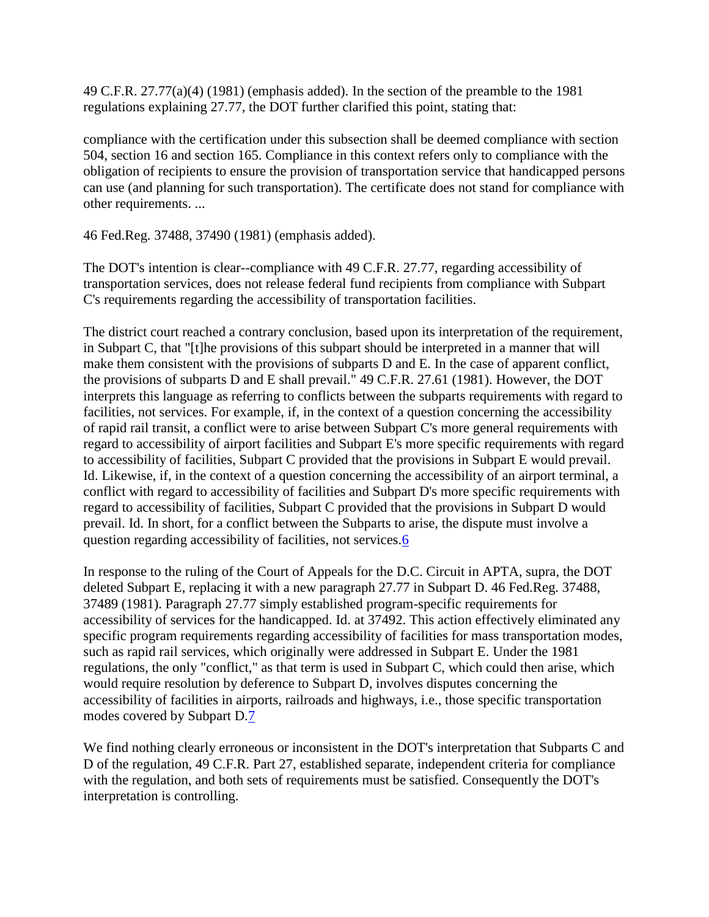49 C.F.R. 27.77(a)(4) (1981) (emphasis added). In the section of the preamble to the 1981 regulations explaining 27.77, the DOT further clarified this point, stating that:

compliance with the certification under this subsection shall be deemed compliance with section 504, section 16 and section 165. Compliance in this context refers only to compliance with the obligation of recipients to ensure the provision of transportation service that handicapped persons can use (and planning for such transportation). The certificate does not stand for compliance with other requirements. ...

46 Fed.Reg. 37488, 37490 (1981) (emphasis added).

The DOT's intention is clear--compliance with 49 C.F.R. 27.77, regarding accessibility of transportation services, does not release federal fund recipients from compliance with Subpart C's requirements regarding the accessibility of transportation facilities.

The district court reached a contrary conclusion, based upon its interpretation of the requirement, in Subpart C, that "[t]he provisions of this subpart should be interpreted in a manner that will make them consistent with the provisions of subparts D and E. In the case of apparent conflict, the provisions of subparts D and E shall prevail." 49 C.F.R. 27.61 (1981). However, the DOT interprets this language as referring to conflicts between the subparts requirements with regard to facilities, not services. For example, if, in the context of a question concerning the accessibility of rapid rail transit, a conflict were to arise between Subpart C's more general requirements with regard to accessibility of airport facilities and Subpart E's more specific requirements with regard to accessibility of facilities, Subpart C provided that the provisions in Subpart E would prevail. Id. Likewise, if, in the context of a question concerning the accessibility of an airport terminal, a conflict with regard to accessibility of facilities and Subpart D's more specific requirements with regard to accessibility of facilities, Subpart C provided that the provisions in Subpart D would prevail. Id. In short, for a conflict between the Subparts to arise, the dispute must involve a question regarding accessibility of facilities, not services[.6](http://bulk.resource.org/courts.gov/c/F2/833/833.F2d.1113.87-1021.html#fn6)

In response to the ruling of the Court of Appeals for the D.C. Circuit in APTA, supra, the DOT deleted Subpart E, replacing it with a new paragraph 27.77 in Subpart D. 46 Fed.Reg. 37488, 37489 (1981). Paragraph 27.77 simply established program-specific requirements for accessibility of services for the handicapped. Id. at 37492. This action effectively eliminated any specific program requirements regarding accessibility of facilities for mass transportation modes, such as rapid rail services, which originally were addressed in Subpart E. Under the 1981 regulations, the only "conflict," as that term is used in Subpart C, which could then arise, which would require resolution by deference to Subpart D, involves disputes concerning the accessibility of facilities in airports, railroads and highways, i.e., those specific transportation modes covered by Subpart D[.7](http://bulk.resource.org/courts.gov/c/F2/833/833.F2d.1113.87-1021.html#fn7)

We find nothing clearly erroneous or inconsistent in the DOT's interpretation that Subparts C and D of the regulation, 49 C.F.R. Part 27, established separate, independent criteria for compliance with the regulation, and both sets of requirements must be satisfied. Consequently the DOT's interpretation is controlling.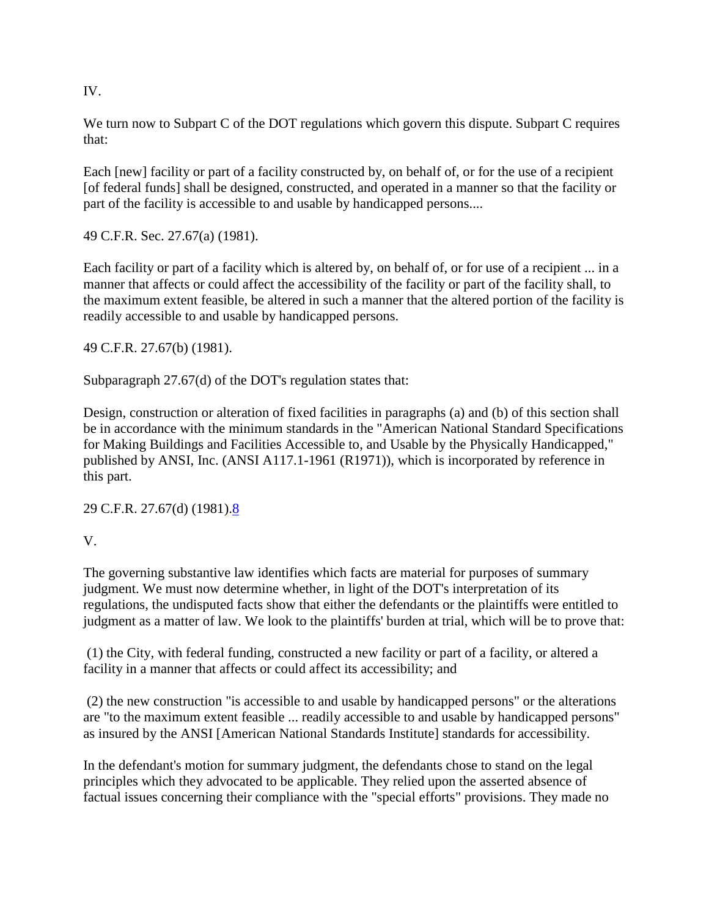IV.

We turn now to Subpart C of the DOT regulations which govern this dispute. Subpart C requires that:

Each [new] facility or part of a facility constructed by, on behalf of, or for the use of a recipient [of federal funds] shall be designed, constructed, and operated in a manner so that the facility or part of the facility is accessible to and usable by handicapped persons....

49 C.F.R. Sec. 27.67(a) (1981).

Each facility or part of a facility which is altered by, on behalf of, or for use of a recipient ... in a manner that affects or could affect the accessibility of the facility or part of the facility shall, to the maximum extent feasible, be altered in such a manner that the altered portion of the facility is readily accessible to and usable by handicapped persons.

49 C.F.R. 27.67(b) (1981).

Subparagraph 27.67(d) of the DOT's regulation states that:

Design, construction or alteration of fixed facilities in paragraphs (a) and (b) of this section shall be in accordance with the minimum standards in the "American National Standard Specifications" for Making Buildings and Facilities Accessible to, and Usable by the Physically Handicapped," published by ANSI, Inc. (ANSI A117.1-1961 (R1971)), which is incorporated by reference in this part.

29 C.F.R. 27.67(d) (1981)[.8](http://bulk.resource.org/courts.gov/c/F2/833/833.F2d.1113.87-1021.html#fn8)

V.

The governing substantive law identifies which facts are material for purposes of summary judgment. We must now determine whether, in light of the DOT's interpretation of its regulations, the undisputed facts show that either the defendants or the plaintiffs were entitled to judgment as a matter of law. We look to the plaintiffs' burden at trial, which will be to prove that:

(1) the City, with federal funding, constructed a new facility or part of a facility, or altered a facility in a manner that affects or could affect its accessibility; and

(2) the new construction "is accessible to and usable by handicapped persons" or the alterations are "to the maximum extent feasible ... readily accessible to and usable by handicapped persons" as insured by the ANSI [American National Standards Institute] standards for accessibility.

In the defendant's motion for summary judgment, the defendants chose to stand on the legal principles which they advocated to be applicable. They relied upon the asserted absence of factual issues concerning their compliance with the "special efforts" provisions. They made no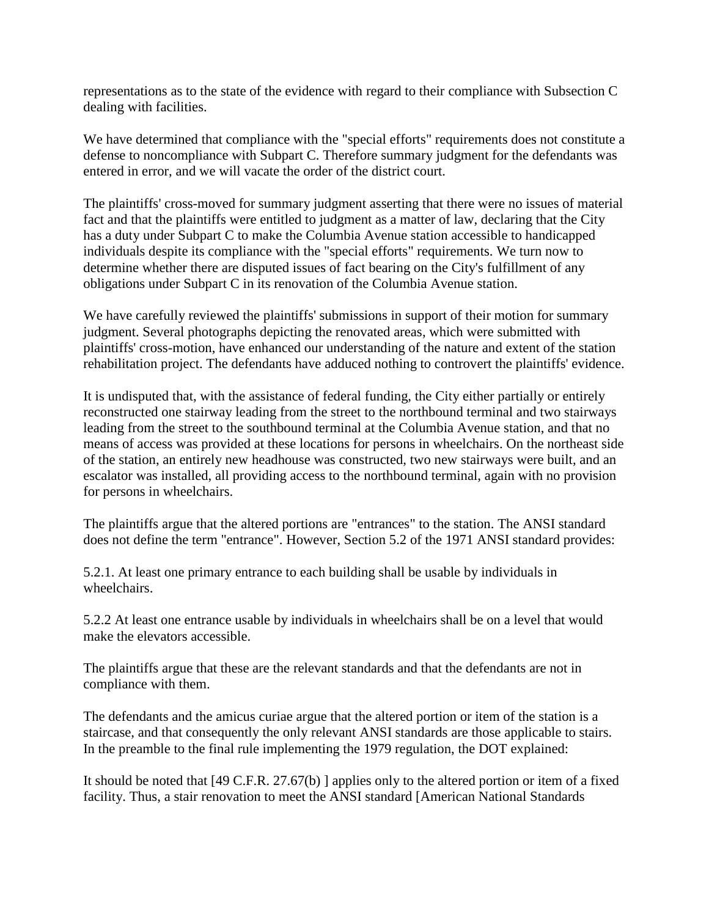representations as to the state of the evidence with regard to their compliance with Subsection C dealing with facilities.

We have determined that compliance with the "special efforts" requirements does not constitute a defense to noncompliance with Subpart C. Therefore summary judgment for the defendants was entered in error, and we will vacate the order of the district court.

The plaintiffs' cross-moved for summary judgment asserting that there were no issues of material fact and that the plaintiffs were entitled to judgment as a matter of law, declaring that the City has a duty under Subpart C to make the Columbia Avenue station accessible to handicapped individuals despite its compliance with the "special efforts" requirements. We turn now to determine whether there are disputed issues of fact bearing on the City's fulfillment of any obligations under Subpart C in its renovation of the Columbia Avenue station.

We have carefully reviewed the plaintiffs' submissions in support of their motion for summary judgment. Several photographs depicting the renovated areas, which were submitted with plaintiffs' cross-motion, have enhanced our understanding of the nature and extent of the station rehabilitation project. The defendants have adduced nothing to controvert the plaintiffs' evidence.

It is undisputed that, with the assistance of federal funding, the City either partially or entirely reconstructed one stairway leading from the street to the northbound terminal and two stairways leading from the street to the southbound terminal at the Columbia Avenue station, and that no means of access was provided at these locations for persons in wheelchairs. On the northeast side of the station, an entirely new headhouse was constructed, two new stairways were built, and an escalator was installed, all providing access to the northbound terminal, again with no provision for persons in wheelchairs.

The plaintiffs argue that the altered portions are "entrances" to the station. The ANSI standard does not define the term "entrance". However, Section 5.2 of the 1971 ANSI standard provides:

5.2.1. At least one primary entrance to each building shall be usable by individuals in wheelchairs.

5.2.2 At least one entrance usable by individuals in wheelchairs shall be on a level that would make the elevators accessible.

The plaintiffs argue that these are the relevant standards and that the defendants are not in compliance with them.

The defendants and the amicus curiae argue that the altered portion or item of the station is a staircase, and that consequently the only relevant ANSI standards are those applicable to stairs. In the preamble to the final rule implementing the 1979 regulation, the DOT explained:

It should be noted that [49 C.F.R. 27.67(b) ] applies only to the altered portion or item of a fixed facility. Thus, a stair renovation to meet the ANSI standard [American National Standards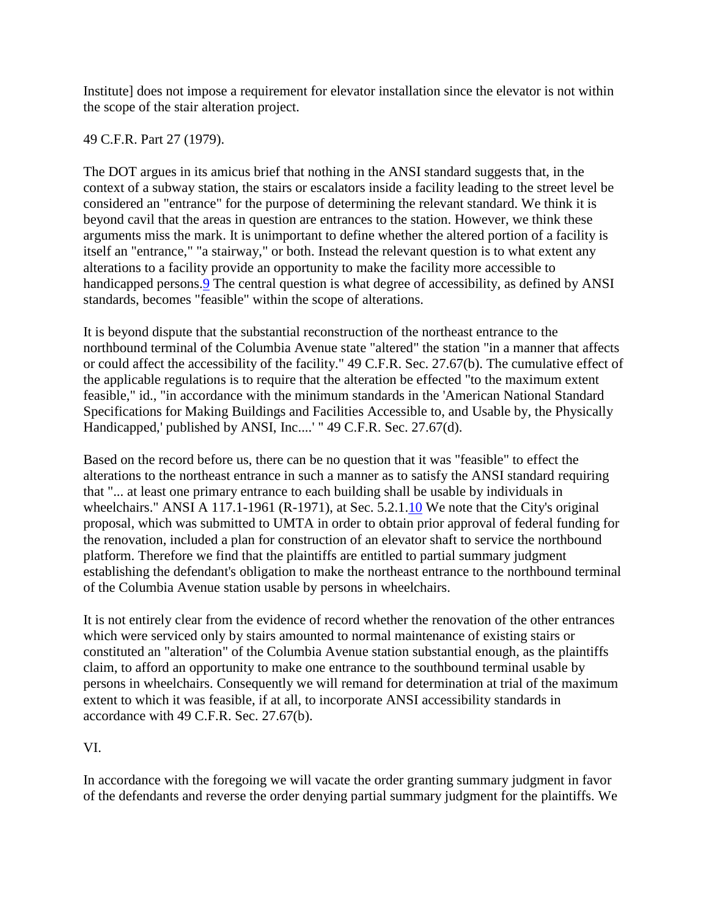Institute] does not impose a requirement for elevator installation since the elevator is not within the scope of the stair alteration project.

49 C.F.R. Part 27 (1979).

The DOT argues in its amicus brief that nothing in the ANSI standard suggests that, in the context of a subway station, the stairs or escalators inside a facility leading to the street level be considered an "entrance" for the purpose of determining the relevant standard. We think it is beyond cavil that the areas in question are entrances to the station. However, we think these arguments miss the mark. It is unimportant to define whether the altered portion of a facility is itself an "entrance," "a stairway," or both. Instead the relevant question is to what extent any alterations to a facility provide an opportunity to make the facility more accessible to handicapped persons. **9** The central question is what degree of accessibility, as defined by ANSI standards, becomes "feasible" within the scope of alterations.

It is beyond dispute that the substantial reconstruction of the northeast entrance to the northbound terminal of the Columbia Avenue state "altered" the station "in a manner that affects or could affect the accessibility of the facility." 49 C.F.R. Sec. 27.67(b). The cumulative effect of the applicable regulations is to require that the alteration be effected "to the maximum extent feasible," id., "in accordance with the minimum standards in the 'American National Standard Specifications for Making Buildings and Facilities Accessible to, and Usable by, the Physically Handicapped,' published by ANSI, Inc....' " 49 C.F.R. Sec. 27.67(d).

Based on the record before us, there can be no question that it was "feasible" to effect the alterations to the northeast entrance in such a manner as to satisfy the ANSI standard requiring that "... at least one primary entrance to each building shall be usable by individuals in wheelchairs." ANSI A 117.1-1961 (R-1971), at Sec. 5.2.1[.10](http://bulk.resource.org/courts.gov/c/F2/833/833.F2d.1113.87-1021.html#fn10) We note that the City's original proposal, which was submitted to UMTA in order to obtain prior approval of federal funding for the renovation, included a plan for construction of an elevator shaft to service the northbound platform. Therefore we find that the plaintiffs are entitled to partial summary judgment establishing the defendant's obligation to make the northeast entrance to the northbound terminal of the Columbia Avenue station usable by persons in wheelchairs.

It is not entirely clear from the evidence of record whether the renovation of the other entrances which were serviced only by stairs amounted to normal maintenance of existing stairs or constituted an "alteration" of the Columbia Avenue station substantial enough, as the plaintiffs claim, to afford an opportunity to make one entrance to the southbound terminal usable by persons in wheelchairs. Consequently we will remand for determination at trial of the maximum extent to which it was feasible, if at all, to incorporate ANSI accessibility standards in accordance with 49 C.F.R. Sec. 27.67(b).

### VI.

In accordance with the foregoing we will vacate the order granting summary judgment in favor of the defendants and reverse the order denying partial summary judgment for the plaintiffs. We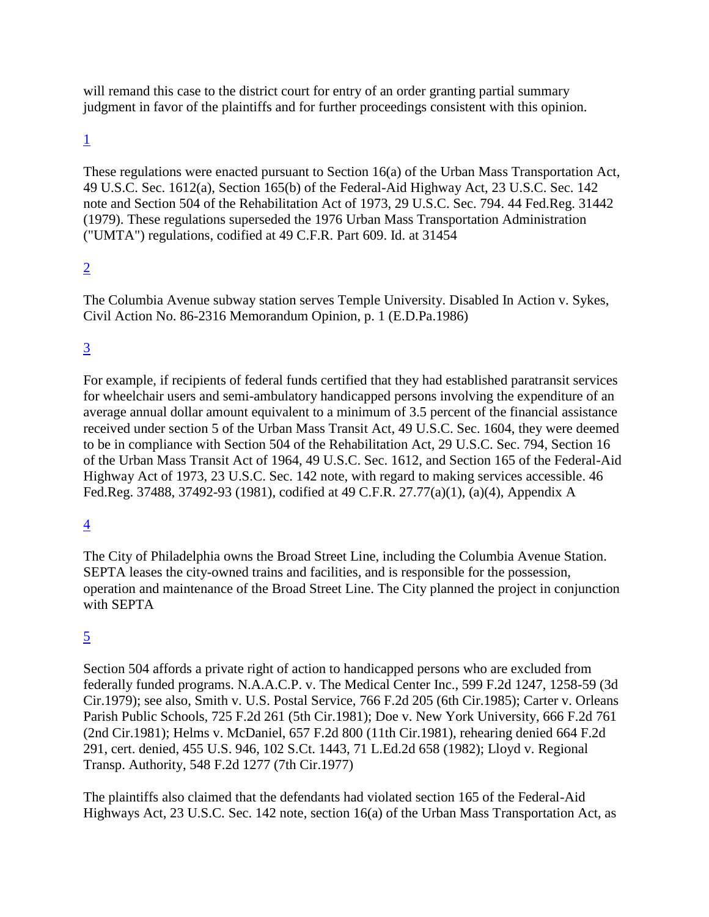will remand this case to the district court for entry of an order granting partial summary judgment in favor of the plaintiffs and for further proceedings consistent with this opinion.

### [1](http://bulk.resource.org/courts.gov/c/F2/833/833.F2d.1113.87-1021.html#fn1_ref)

These regulations were enacted pursuant to Section 16(a) of the Urban Mass Transportation Act, 49 U.S.C. Sec. 1612(a), Section 165(b) of the Federal-Aid Highway Act, 23 U.S.C. Sec. 142 note and Section 504 of the Rehabilitation Act of 1973, 29 U.S.C. Sec. 794. 44 Fed.Reg. 31442 (1979). These regulations superseded the 1976 Urban Mass Transportation Administration ("UMTA") regulations, codified at 49 C.F.R. Part 609. Id. at 31454

## [2](http://bulk.resource.org/courts.gov/c/F2/833/833.F2d.1113.87-1021.html#fn2_ref)

The Columbia Avenue subway station serves Temple University. Disabled In Action v. Sykes, Civil Action No. 86-2316 Memorandum Opinion, p. 1 (E.D.Pa.1986)

## [3](http://bulk.resource.org/courts.gov/c/F2/833/833.F2d.1113.87-1021.html#fn3_ref)

For example, if recipients of federal funds certified that they had established paratransit services for wheelchair users and semi-ambulatory handicapped persons involving the expenditure of an average annual dollar amount equivalent to a minimum of 3.5 percent of the financial assistance received under section 5 of the Urban Mass Transit Act, 49 U.S.C. Sec. 1604, they were deemed to be in compliance with Section 504 of the Rehabilitation Act, 29 U.S.C. Sec. 794, Section 16 of the Urban Mass Transit Act of 1964, 49 U.S.C. Sec. 1612, and Section 165 of the Federal-Aid Highway Act of 1973, 23 U.S.C. Sec. 142 note, with regard to making services accessible. 46 Fed.Reg. 37488, 37492-93 (1981), codified at 49 C.F.R. 27.77(a)(1), (a)(4), Appendix A

### [4](http://bulk.resource.org/courts.gov/c/F2/833/833.F2d.1113.87-1021.html#fn4_ref)

The City of Philadelphia owns the Broad Street Line, including the Columbia Avenue Station. SEPTA leases the city-owned trains and facilities, and is responsible for the possession, operation and maintenance of the Broad Street Line. The City planned the project in conjunction with SEPTA

### [5](http://bulk.resource.org/courts.gov/c/F2/833/833.F2d.1113.87-1021.html#fn5_ref)

Section 504 affords a private right of action to handicapped persons who are excluded from federally funded programs. N.A.A.C.P. v. The Medical Center Inc., 599 F.2d 1247, 1258-59 (3d Cir.1979); see also, Smith v. U.S. Postal Service, 766 F.2d 205 (6th Cir.1985); Carter v. Orleans Parish Public Schools, 725 F.2d 261 (5th Cir.1981); Doe v. New York University, 666 F.2d 761 (2nd Cir.1981); Helms v. McDaniel, 657 F.2d 800 (11th Cir.1981), rehearing denied 664 F.2d 291, cert. denied, 455 U.S. 946, 102 S.Ct. 1443, 71 L.Ed.2d 658 (1982); Lloyd v. Regional Transp. Authority, 548 F.2d 1277 (7th Cir.1977)

The plaintiffs also claimed that the defendants had violated section 165 of the Federal-Aid Highways Act, 23 U.S.C. Sec. 142 note, section 16(a) of the Urban Mass Transportation Act, as